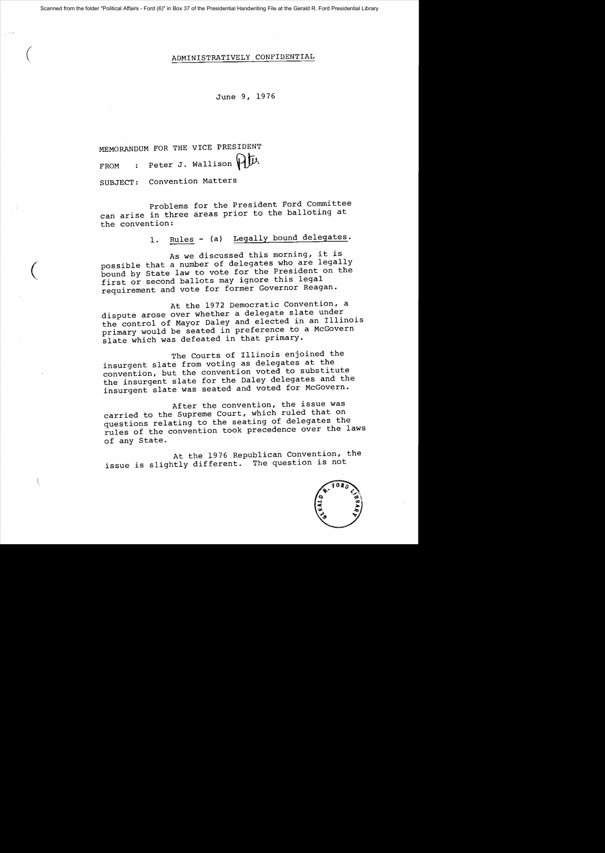## ( ADMINISTRATIVELY CONFIDENTIAL

June 9, 1976

MEMORANDUM FOR THE VICE PRESIDENT FROM : Peter J. Wallison  $\mathfrak{p}\mathfrak{p}$ .

SUBJECT: Convention Matters

 $\overline{C}$ 

 $\mathfrak{t}$ 

Problems for the President Ford Committee can arise in three areas prior to the balloting at the convention:

1. Rules - (a) Legally bound delegates.

As we discussed this morning, it is possible that a number of delegates who are legally bound by State law to vote for the President on the first or second ballots may ignore this legal requirement and vote for former Governor Reagan.

At the 1972 Democratic Convention, a dispute arose over whether a delegate slate under the control of Mayor Daley and elected in an Illinois primary would be seated in preference to a McGovern slate which was defeated in that primary.

The Courts of Illinois enjoined the insurgent slate from voting as delegates at the convention, but the convention voted to substitute the insurgent slate for the Daley delegates and the insurgent slate was seated and voted for McGovern.

After the convention, the issue was carried to the Supreme Court, which ruled that on questions relating to the seating of delegates the rules of the convention took precedence over the laws of any State.

At the 1976 Republican Convention, the issue is slightly different. The question is not

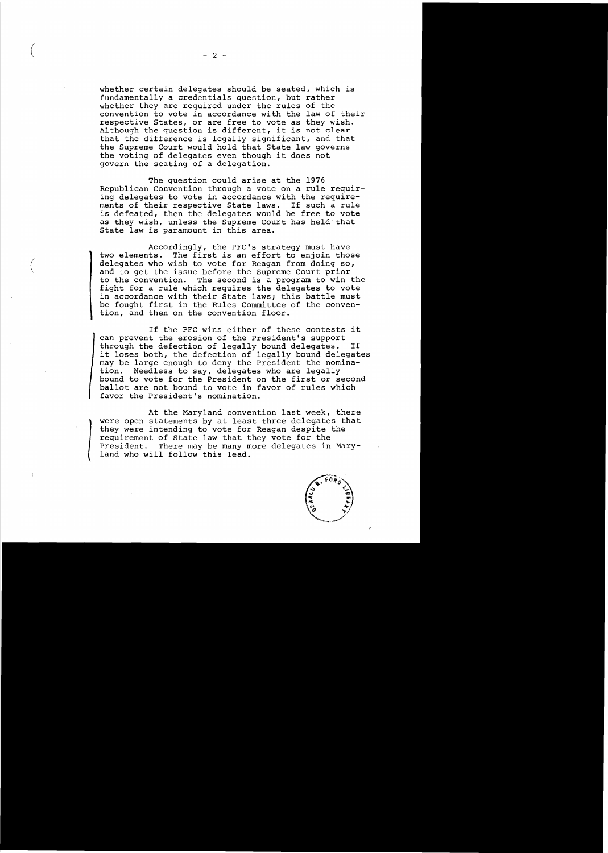whether certain delegates should be seated, which is fundamentally a credentials question, but rather whether they are required under the rules of the convention to vote in accordance with the law of their respective States, or are free to vote as they wish. Although the question is different, it is not clear that the difference is legally significant, and that the Supreme Court would hold that State law governs the voting of delegates even though it does not govern the seating of a delegation.

The question could arise at the 1976 Republican Convention through a vote on a rule requiring delegates to vote in accordance with the require-<br>ments of their respective State laws. If such a rule ments of their respective State laws. is defeated, then the delegates would be free to vote as they wish, unless the Supreme Court has held that State law is paramount in this area.

Accordingly, the PFC's strategy must have two elements. The first is an effort to enjoin those delegates who wish to vote for Reagan from doing so, and to get the issue before the Supreme Court prior to the convention. The second is a program to win the fight for a rule which requires the delegates to vote in accordance with their State laws; this battle must be fought first in the Rules Committee of the convention, and then on the convention floor.

If the PFC wins either of these contests it can prevent the erosion of the President's support through the defection of legally bound delegates. it loses both, the defection of legally bound delegates may be large enough to deny the President the nomination. Needless to say, delegates who are legally bound to vote for the President on the first or second ballot are not bound to vote in favor of rules which favor the President's nomination.

At the Maryland convention last week, there were open statements by at least three delegates that they were intending to vote for Reagan despite the requirement of State law that they vote for the President. There may be many more delegates in Mary-<br>land who will follow this lead.



.'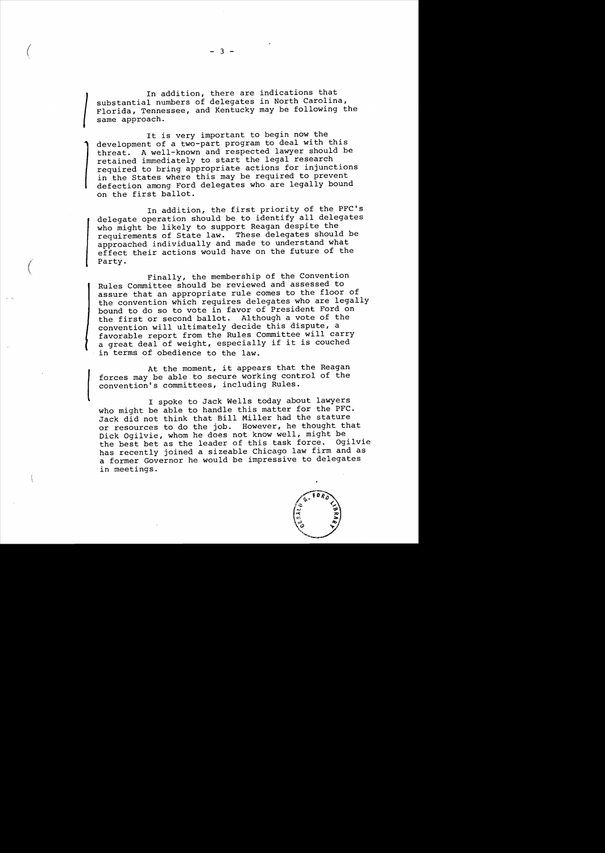substantial numbers of delegates in North Carolina,<br>Florida, Tennessee, and Kentucky may be following the<br>same approach.<br>This name important to bogin pow the In addition, there are indications that substantial numbers of delegates in North Carolina, same approach.

It is very important to begin now the development of a two-part program to deal with this threat. A well-known and respected lawyer should be retained immediately to start the legal research required to bring appropriate actions for injunctions in the States where this may be required to prevent defection among Ford delegates who are legally bound on the first ballot.

In addition, the first priority of the PFC's delegate operation should be to identify all delegates who might be likely to support Reagan despite the who might be interpresent in these delegates should be approached individually and made to understand what effect their actions would have on the future of the Party.

Finally, the membership of the Convention Rules Committee should be reviewed and assessed to assure that an appropriate rule comes to the floor of the convention which requires delegates who are legally bound to do so to vote in favor of President Ford on the first or second ballot. Although a vote of the convention will ultimately decide this dispute, a favorable report from the Rules Committee will carry a great deal of weight, especially if it is couched in terms of obedience to the law.

At the moment, it appears that the Reagan<br>forces may be able to secure working control of the<br>convention's committees, including Rules.<br>I spoke to Jack Wells today about lawyers forces may be able to secure working control of the convention's committees, including Rules.

I spoke to Jack Wells today about lawyers who might be able to handle this matter for the PFC. Jack did not think that Bill Miller had the stature or resources to do the job. However, he thought that Dick Ogilvie, whom he does not know well, might be the best bet as the leader of this task force. Ogilvie has recently joined a sizeable Chicago law firm and as a former Governor he would be impressive to delegates in meetings.



 $\begin{pmatrix} 1 & 3 & -3 \\ 1 & 3 & -3 \end{pmatrix}$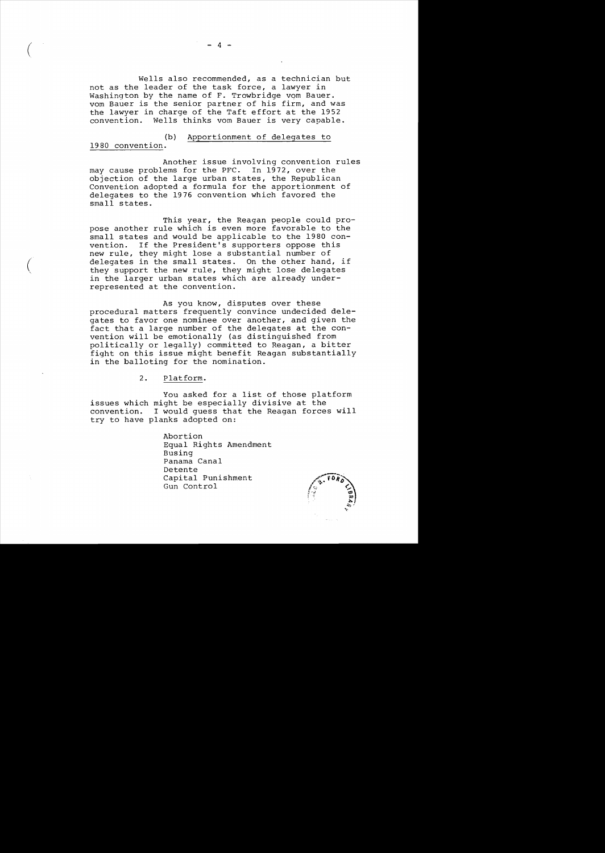Wells also recommended, as a technician but not as the leader of the task force, a lawyer in Washington by the name of F. Trowbridge vom Bauer. vom Bauer is the senior partner of his firm, and was the lawyer in charge of the Taft effort at the 1952 convention. Wells thinks vom Bauer is very capable.

## (b) Apportionment of delegates to

## 1980 convention.

Another issue involving convention rules may cause problems for the PFC. In 1972, over the objection of the large urban states, the Republican Convention adopted a formula for the apportionment of delegates to the 1976 convention which favored the small states.

This year, the Reagan people could propose another rule which is even more favorable to the small states and would be applicable to the 1980 con-<br>vention. If the President's supporters oppose this If the President's supporters oppose this new rule, they might lose a substantial number of delegates in the small states. On the other hand, if they support the new rule, they might lose delegates in the larger urban states which are already underrepresented at the convention.

As you know, disputes over these procedural matters frequently convince undecided delegates to favor one nominee over another, and given the fact that a large number of the delegates at the convention will be emotionally (as distinguished from politically or legally) committed to Reagan, a bitter fight on this issue might benefit Reagan substantially in the balloting for the nomination.

2. Platform.

You asked for a list of those platform issues which might be especially divisive at the convention. I would guess that the Reagan forces will try to have planks adopted on:

> Abortion Equal Rights Amendment Busing Panama Canal Detente Capital Punishment Gun Control